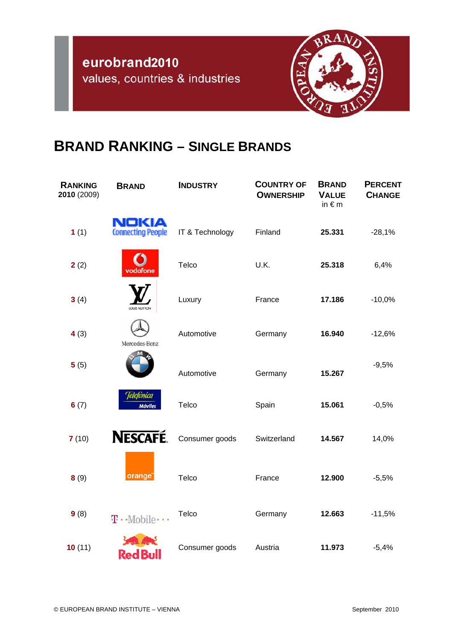

## **BRAND RANKING – SINGLE BRANDS**

| <b>RANKING</b><br>2010 (2009) | <b>BRAND</b>                      | <b>INDUSTRY</b> | <b>COUNTRY OF</b><br><b>OWNERSHIP</b> | <b>BRAND</b><br><b>VALUE</b><br>in $\notin$ m | <b>PERCENT</b><br><b>CHANGE</b> |
|-------------------------------|-----------------------------------|-----------------|---------------------------------------|-----------------------------------------------|---------------------------------|
| 1(1)                          | NOKIA<br><b>Connecting People</b> | IT & Technology | Finland                               | 25.331                                        | $-28,1%$                        |
| 2(2)                          | vodafone                          | Telco           | U.K.                                  | 25.318                                        | 6,4%                            |
| 3(4)                          | LOUIS VUITTON                     | Luxury          | France                                | 17.186                                        | $-10,0%$                        |
| 4(3)                          | Mercedes-Benz                     | Automotive      | Germany                               | 16.940                                        | $-12,6%$                        |
| 5(5)                          |                                   | Automotive      | Germany                               | 15.267                                        | $-9,5%$                         |
| 6(7)                          | Telefònica<br><b>Móviles</b>      | Telco           | Spain                                 | 15.061                                        | $-0,5%$                         |
| 7(10)                         | <b>NESCAFÉ.</b>                   | Consumer goods  | Switzerland                           | 14.567                                        | 14,0%                           |
| 8(9)                          | orange <sup>®</sup>               | Telco           | France                                | 12.900                                        | $-5,5%$                         |
| 9(8)                          | $T \cdot$ Mobile $\cdots$         | Telco           | Germany                               | 12.663                                        | $-11,5%$                        |
| 10(11)                        | Red Bull                          | Consumer goods  | Austria                               | 11.973                                        | $-5,4%$                         |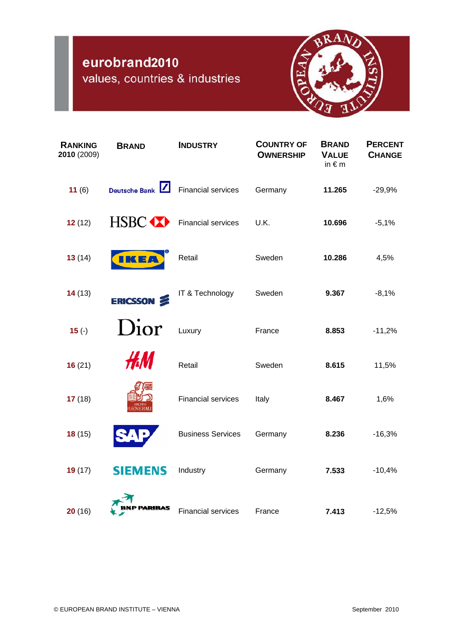## eurobrand2010

values, countries & industries



| <b>RANKING</b><br>2010 (2009) | <b>BRAND</b>         | <b>INDUSTRY</b>           | <b>COUNTRY OF</b><br><b>OWNERSHIP</b> | <b>BRAND</b><br><b>VALUE</b><br>in $\notin$ m | <b>PERCENT</b><br><b>CHANGE</b> |
|-------------------------------|----------------------|---------------------------|---------------------------------------|-----------------------------------------------|---------------------------------|
| 11(6)                         | <b>Deutsche Bank</b> | <b>Financial services</b> | Germany                               | 11.265                                        | $-29,9%$                        |
| 12(12)                        | HSBC <b>XX</b>       | <b>Financial services</b> | U.K.                                  | 10.696                                        | $-5,1%$                         |
| 13(14)                        | <b>IKEA</b>          | Retail                    | Sweden                                | 10.286                                        | 4,5%                            |
| 14(13)                        | ERICSSON &           | IT & Technology           | Sweden                                | 9.367                                         | $-8,1%$                         |
| $15( - )$                     | Dior                 | Luxury                    | France                                | 8.853                                         | $-11,2%$                        |
| 16(21)                        | HM.                  | Retail                    | Sweden                                | 8.615                                         | 11,5%                           |
| 17(18)                        |                      | <b>Financial services</b> | Italy                                 | 8.467                                         | 1,6%                            |
| 18(15)                        |                      | <b>Business Services</b>  | Germany                               | 8.236                                         | $-16,3%$                        |
| 19(17)                        | <b>SIEMENS</b>       | Industry                  | Germany                               | 7.533                                         | $-10,4%$                        |
| 20(16)                        | <b>P PARIBAS</b>     | <b>Financial services</b> | France                                | 7.413                                         | $-12,5%$                        |